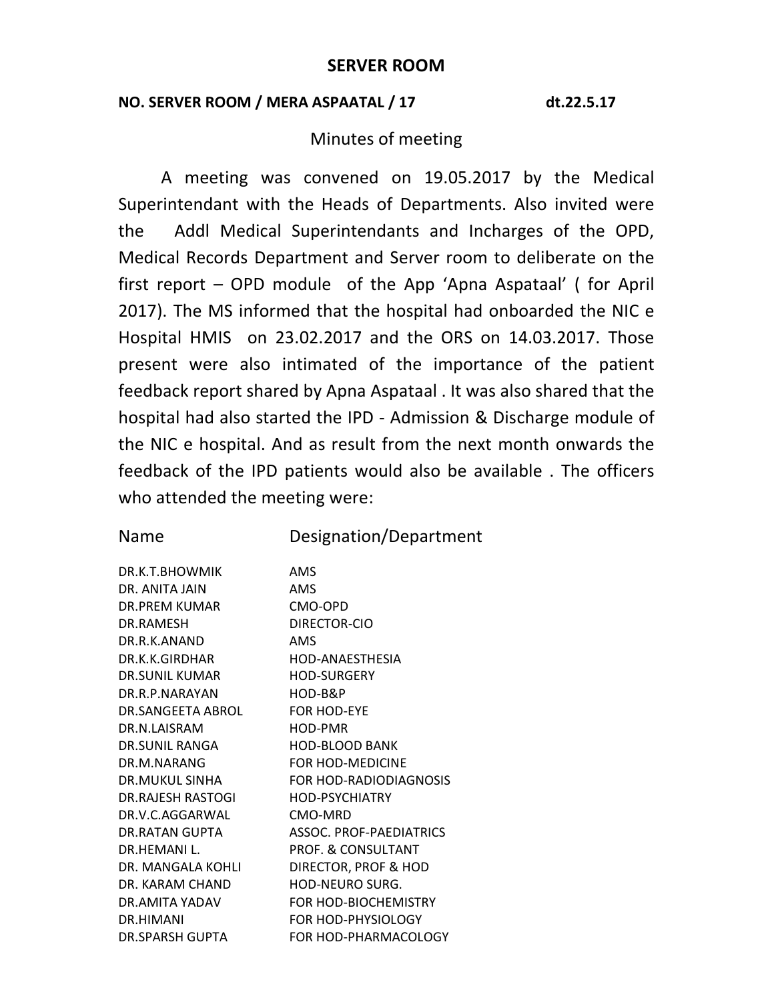## **NO. SERVER ROOM / MERA ASPAATAL / 17 dt.22.5.17**

## Minutes of meeting

A meeting was convened on 19.05.2017 by the Medical Superintendant with the Heads of Departments. Also invited were the Addl Medical Superintendants and Incharges of the OPD, Medical Records Department and Server room to deliberate on the first report – OPD module of the App 'Apna Aspataal' ( for April 2017). The MS informed that the hospital had onboarded the NIC e Hospital HMIS on 23.02.2017 and the ORS on 14.03.2017. Those present were also intimated of the importance of the patient feedback report shared by Apna Aspataal . It was also shared that the hospital had also started the IPD - Admission & Discharge module of the NIC e hospital. And as result from the next month onwards the feedback of the IPD patients would also be available . The officers who attended the meeting were:

|  |  |  | <b>Name</b> |
|--|--|--|-------------|
|--|--|--|-------------|

Designation/Department

| DR.K.T.BHOWMIK        | AMS                     |
|-----------------------|-------------------------|
| DR. ANITA IAIN        | AMS                     |
| DR.PRFM KUMAR         | CMO-OPD                 |
| DR.RAMFSH             | DIRECTOR-CIO            |
| DR R K ANAND          | AMS                     |
| DR.K.K.GIRDHAR        | HOD-ANAESTHESIA         |
| DR.SUNIL KUMAR        | HOD-SURGFRY             |
| DR.R.P.NARAYAN        | HOD-B&P                 |
| DR.SANGFFTA ABROL     | <b>FOR HOD-FYF</b>      |
| DR.N.LAISRAM          | HOD-PMR                 |
| DR.SUNIL RANGA        | <b>HOD-BLOOD BANK</b>   |
| DR.M.NARANG           | FOR HOD-MEDICINE        |
| <b>DR.MUKUL SINHA</b> | FOR HOD-RADIODIAGNOSIS  |
| DR. RAJESH RASTOGI    | HOD-PSYCHIATRY          |
| DR.V.C.AGGARWAL       | CMO-MRD                 |
| DR.RATAN GUPTA        | ASSOC. PROF-PAFDIATRICS |
| DR.HFMANI L.          | PROF. & CONSULTANT      |
| DR. MANGALA KOHLI     | DIRECTOR, PROF & HOD    |
| DR. KARAM CHAND       | HOD-NEURO SURG.         |
| DR.AMITA YADAV        | FOR HOD-BIOCHEMISTRY    |
| DR HIMANI             | FOR HOD-PHYSIOLOGY      |
| DR.SPARSH GUPTA       | FOR HOD-PHARMACOLOGY    |
|                       |                         |